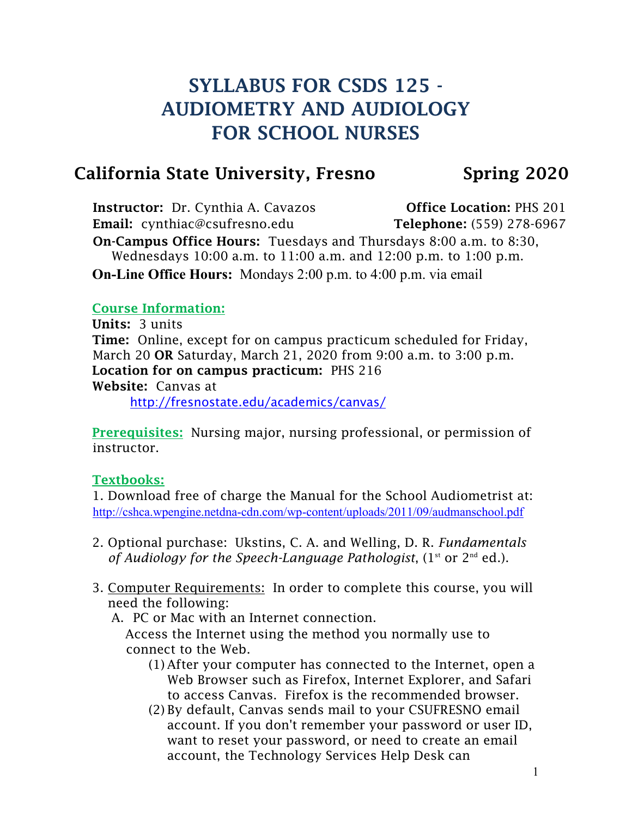# SYLLABUS FOR CSDS 125 - AUDIOMETRY AND AUDIOLOGY FOR SCHOOL NURSES

## California State University, Fresno Spring 2020

Instructor: Dr. Cynthia A. Cavazos **Office Location: PHS 201** Email: cynthiac@csufresno.edu Telephone: (559) 278-6967 On-Campus Office Hours: Tuesdays and Thursdays 8:00 a.m. to 8:30, Wednesdays 10:00 a.m. to 11:00 a.m. and 12:00 p.m. to 1:00 p.m. **On-Line Office Hours:** Mondays 2:00 p.m. to 4:00 p.m. via email

#### Course Information:

Units: 3 units Time: Online, except for on campus practicum scheduled for Friday, March 20 OR Saturday, March 21, 2020 from 9:00 a.m. to 3:00 p.m. Location for on campus practicum: PHS 216 Website: Canvas at <http://fresnostate.edu/academics/canvas/>

Prerequisites: Nursing major, nursing professional, or permission of instructor.

### Textbooks:

1. Download free of charge the Manual for the School Audiometrist at: <http://cshca.wpengine.netdna-cdn.com/wp-content/uploads/2011/09/audmanschool.pdf>

- 2. Optional purchase: Ukstins, C. A. and Welling, D. R. *Fundamentals of Audiology for the Speech-Language Pathologist*, (1st or 2nd ed.).
- 3. Computer Requirements: In order to complete this course, you will need the following:
	- A. PC or Mac with an Internet connection.

Access the Internet using the method you normally use to connect to the Web.

- (1) After your computer has connected to the Internet, open a Web Browser such as Firefox, Internet Explorer, and Safari to access Canvas. Firefox is the recommended browser.
- (2) By default, Canvas sends mail to your CSUFRESNO email account. If you don't remember your password or user ID, want to reset your password, or need to create an email account, the Technology Services Help Desk can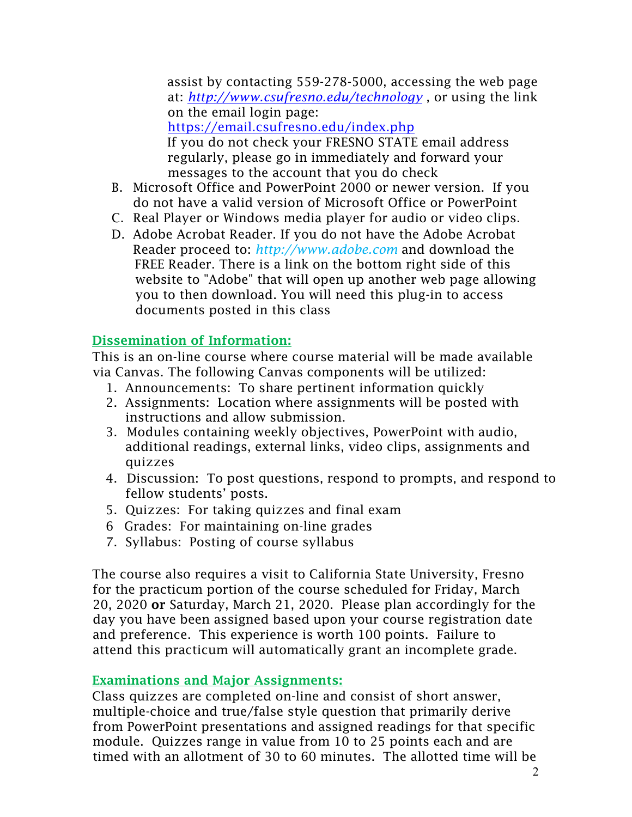assist by contacting 559-278-5000, accessing the web page at: *<http://www.csufresno.edu/technology>* , or using the link on the email login page: <https://email.csufresno.edu/index.php> If you do not check your FRESNO STATE email address regularly, please go in immediately and forward your messages to the account that you do check

- B. Microsoft Office and PowerPoint 2000 or newer version. If you do not have a valid version of Microsoft Office or PowerPoint
- C. Real Player or Windows media player for audio or video clips.
- D. Adobe Acrobat Reader. If you do not have the Adobe Acrobat Reader proceed to: *[http://www.adobe.com](http://www.adobe.com/)* and download the FREE Reader. There is a link on the bottom right side of this website to "Adobe" that will open up another web page allowing you to then download. You will need this plug-in to access documents posted in this class

### Dissemination of Information:

This is an on-line course where course material will be made available via Canvas. The following Canvas components will be utilized:

- 1. Announcements: To share pertinent information quickly
- 2. Assignments: Location where assignments will be posted with instructions and allow submission.
- 3. Modules containing weekly objectives, PowerPoint with audio, additional readings, external links, video clips, assignments and quizzes
- 4. Discussion: To post questions, respond to prompts, and respond to fellow students' posts.
- 5. Quizzes: For taking quizzes and final exam
- 6 Grades: For maintaining on-line grades
- 7. Syllabus: Posting of course syllabus

The course also requires a visit to California State University, Fresno for the practicum portion of the course scheduled for Friday, March 20, 2020 or Saturday, March 21, 2020. Please plan accordingly for the day you have been assigned based upon your course registration date and preference. This experience is worth 100 points. Failure to attend this practicum will automatically grant an incomplete grade.

### Examinations and Major Assignments:

Class quizzes are completed on-line and consist of short answer, multiple-choice and true/false style question that primarily derive from PowerPoint presentations and assigned readings for that specific module. Quizzes range in value from 10 to 25 points each and are timed with an allotment of 30 to 60 minutes. The allotted time will be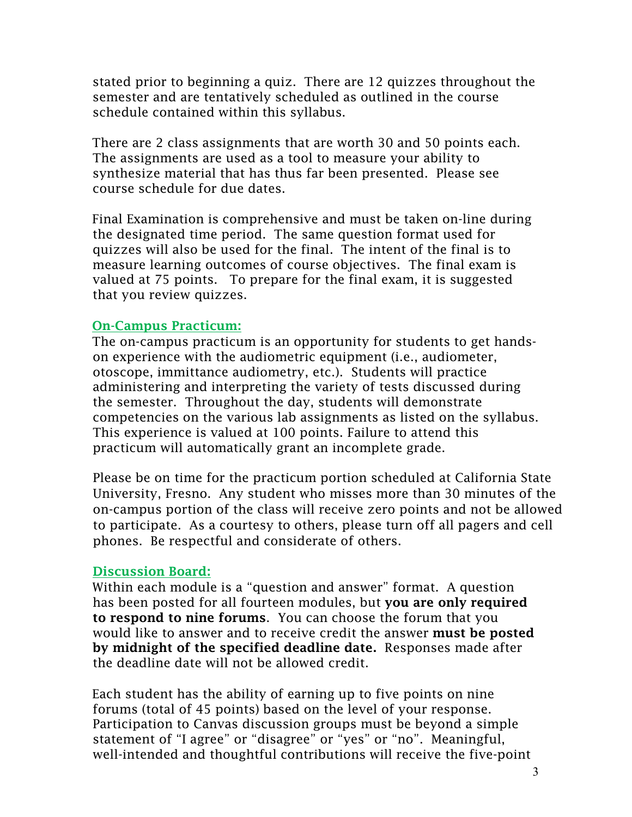stated prior to beginning a quiz. There are 12 quizzes throughout the semester and are tentatively scheduled as outlined in the course schedule contained within this syllabus.

There are 2 class assignments that are worth 30 and 50 points each. The assignments are used as a tool to measure your ability to synthesize material that has thus far been presented. Please see course schedule for due dates.

Final Examination is comprehensive and must be taken on-line during the designated time period. The same question format used for quizzes will also be used for the final. The intent of the final is to measure learning outcomes of course objectives. The final exam is valued at 75 points. To prepare for the final exam, it is suggested that you review quizzes.

#### On-Campus Practicum:

The on-campus practicum is an opportunity for students to get handson experience with the audiometric equipment (i.e., audiometer, otoscope, immittance audiometry, etc.). Students will practice administering and interpreting the variety of tests discussed during the semester. Throughout the day, students will demonstrate competencies on the various lab assignments as listed on the syllabus. This experience is valued at 100 points. Failure to attend this practicum will automatically grant an incomplete grade.

Please be on time for the practicum portion scheduled at California State University, Fresno. Any student who misses more than 30 minutes of the on-campus portion of the class will receive zero points and not be allowed to participate. As a courtesy to others, please turn off all pagers and cell phones. Be respectful and considerate of others.

#### Discussion Board:

Within each module is a "question and answer" format. A question has been posted for all fourteen modules, but **you are only required** to respond to nine forums. You can choose the forum that you would like to answer and to receive credit the answer **must be posted** by midnight of the specified deadline date. Responses made after the deadline date will not be allowed credit.

Each student has the ability of earning up to five points on nine forums (total of 45 points) based on the level of your response. Participation to Canvas discussion groups must be beyond a simple statement of "I agree" or "disagree" or "yes" or "no". Meaningful, well-intended and thoughtful contributions will receive the five-point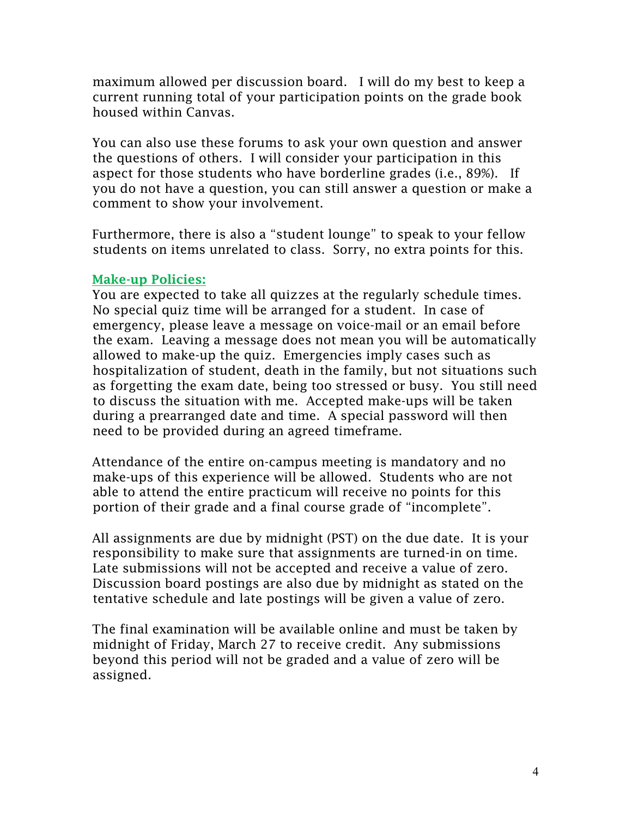maximum allowed per discussion board. I will do my best to keep a current running total of your participation points on the grade book housed within Canvas.

You can also use these forums to ask your own question and answer the questions of others. I will consider your participation in this aspect for those students who have borderline grades (i.e., 89%). If you do not have a question, you can still answer a question or make a comment to show your involvement.

Furthermore, there is also a "student lounge" to speak to your fellow students on items unrelated to class. Sorry, no extra points for this.

#### Make-up Policies:

You are expected to take all quizzes at the regularly schedule times. No special quiz time will be arranged for a student. In case of emergency, please leave a message on voice-mail or an email before the exam. Leaving a message does not mean you will be automatically allowed to make-up the quiz. Emergencies imply cases such as hospitalization of student, death in the family, but not situations such as forgetting the exam date, being too stressed or busy. You still need to discuss the situation with me. Accepted make-ups will be taken during a prearranged date and time. A special password will then need to be provided during an agreed timeframe.

Attendance of the entire on-campus meeting is mandatory and no make-ups of this experience will be allowed. Students who are not able to attend the entire practicum will receive no points for this portion of their grade and a final course grade of "incomplete".

All assignments are due by midnight (PST) on the due date. It is your responsibility to make sure that assignments are turned-in on time. Late submissions will not be accepted and receive a value of zero. Discussion board postings are also due by midnight as stated on the tentative schedule and late postings will be given a value of zero.

The final examination will be available online and must be taken by midnight of Friday, March 27 to receive credit. Any submissions beyond this period will not be graded and a value of zero will be assigned.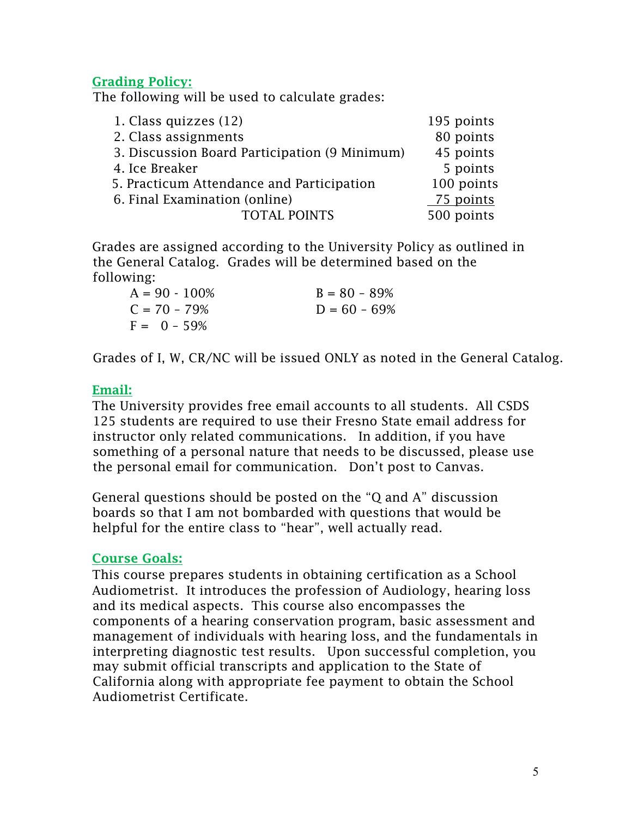#### Grading Policy:

The following will be used to calculate grades:

| 1. Class quizzes (12)                         | 195 points |
|-----------------------------------------------|------------|
| 2. Class assignments                          | 80 points  |
| 3. Discussion Board Participation (9 Minimum) | 45 points  |
| 4. Ice Breaker                                | 5 points   |
| 5. Practicum Attendance and Participation     | 100 points |
| 6. Final Examination (online)                 | 75 points  |
| <b>TOTAL POINTS</b>                           | 500 points |

Grades are assigned according to the University Policy as outlined in the General Catalog. Grades will be determined based on the following:

| $A = 90 - 100\%$ | $B = 80 - 89%$  |
|------------------|-----------------|
| $C = 70 - 79\%$  | $D = 60 - 69\%$ |
| $F = 0 - 59\%$   |                 |

Grades of I, W, CR/NC will be issued ONLY as noted in the General Catalog.

#### Email:

The University provides free email accounts to all students. All CSDS 125 students are required to use their Fresno State email address for instructor only related communications. In addition, if you have something of a personal nature that needs to be discussed, please use the personal email for communication. Don't post to Canvas.

General questions should be posted on the "Q and A" discussion boards so that I am not bombarded with questions that would be helpful for the entire class to "hear", well actually read.

#### Course Goals:

This course prepares students in obtaining certification as a School Audiometrist. It introduces the profession of Audiology, hearing loss and its medical aspects. This course also encompasses the components of a hearing conservation program, basic assessment and management of individuals with hearing loss, and the fundamentals in interpreting diagnostic test results. Upon successful completion, you may submit official transcripts and application to the State of California along with appropriate fee payment to obtain the School Audiometrist Certificate.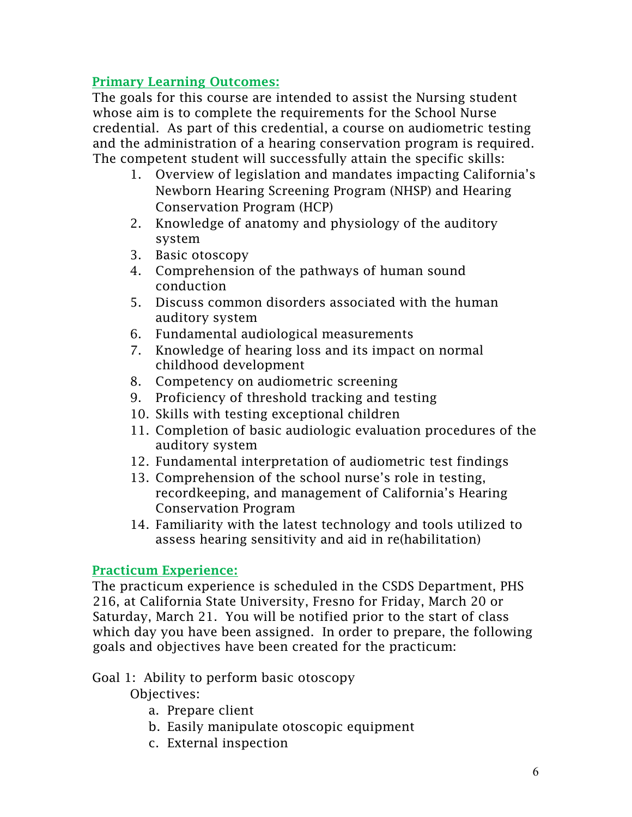### Primary Learning Outcomes:

The goals for this course are intended to assist the Nursing student whose aim is to complete the requirements for the School Nurse credential. As part of this credential, a course on audiometric testing and the administration of a hearing conservation program is required. The competent student will successfully attain the specific skills:

- 1. Overview of legislation and mandates impacting California's Newborn Hearing Screening Program (NHSP) and Hearing Conservation Program (HCP)
- 2. Knowledge of anatomy and physiology of the auditory system
- 3. Basic otoscopy
- 4. Comprehension of the pathways of human sound conduction
- 5. Discuss common disorders associated with the human auditory system
- 6. Fundamental audiological measurements
- 7. Knowledge of hearing loss and its impact on normal childhood development
- 8. Competency on audiometric screening
- 9. Proficiency of threshold tracking and testing
- 10. Skills with testing exceptional children
- 11. Completion of basic audiologic evaluation procedures of the auditory system
- 12. Fundamental interpretation of audiometric test findings
- 13. Comprehension of the school nurse's role in testing, recordkeeping, and management of California's Hearing Conservation Program
- 14. Familiarity with the latest technology and tools utilized to assess hearing sensitivity and aid in re(habilitation)

### Practicum Experience:

The practicum experience is scheduled in the CSDS Department, PHS 216, at California State University, Fresno for Friday, March 20 or Saturday, March 21. You will be notified prior to the start of class which day you have been assigned. In order to prepare, the following goals and objectives have been created for the practicum:

#### Goal 1: Ability to perform basic otoscopy

Objectives:

- a. Prepare client
- b. Easily manipulate otoscopic equipment
- c. External inspection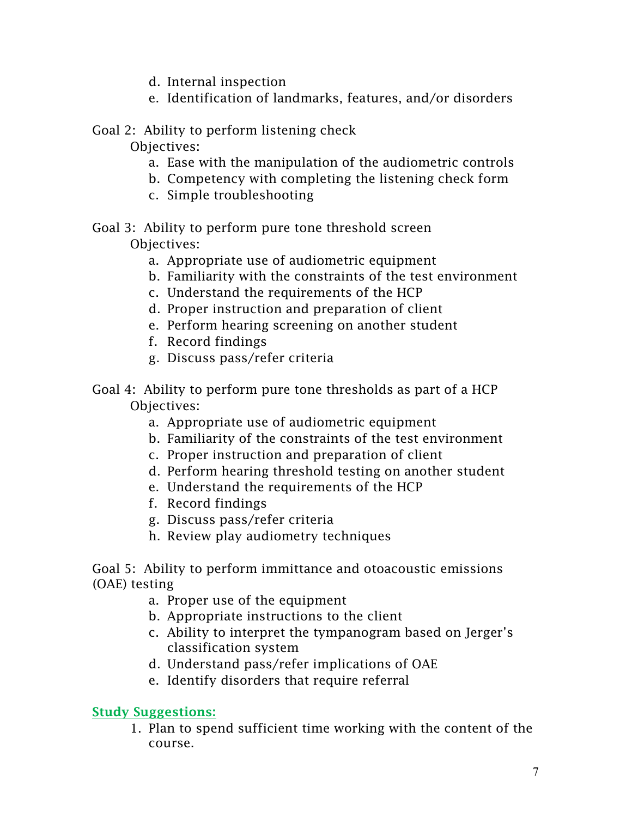- d. Internal inspection
- e. Identification of landmarks, features, and/or disorders

### Goal 2: Ability to perform listening check

Objectives:

- a. Ease with the manipulation of the audiometric controls
- b. Competency with completing the listening check form
- c. Simple troubleshooting
- Goal 3: Ability to perform pure tone threshold screen Objectives:
	- a. Appropriate use of audiometric equipment
	- b. Familiarity with the constraints of the test environment
	- c. Understand the requirements of the HCP
	- d. Proper instruction and preparation of client
	- e. Perform hearing screening on another student
	- f. Record findings
	- g. Discuss pass/refer criteria
- Goal 4: Ability to perform pure tone thresholds as part of a HCP Objectives:
	- a. Appropriate use of audiometric equipment
	- b. Familiarity of the constraints of the test environment
	- c. Proper instruction and preparation of client
	- d. Perform hearing threshold testing on another student
	- e. Understand the requirements of the HCP
	- f. Record findings
	- g. Discuss pass/refer criteria
	- h. Review play audiometry techniques

Goal 5: Ability to perform immittance and otoacoustic emissions (OAE) testing

- a. Proper use of the equipment
- b. Appropriate instructions to the client
- c. Ability to interpret the tympanogram based on Jerger's classification system
- d. Understand pass/refer implications of OAE
- e. Identify disorders that require referral

### Study Suggestions:

1. Plan to spend sufficient time working with the content of the course.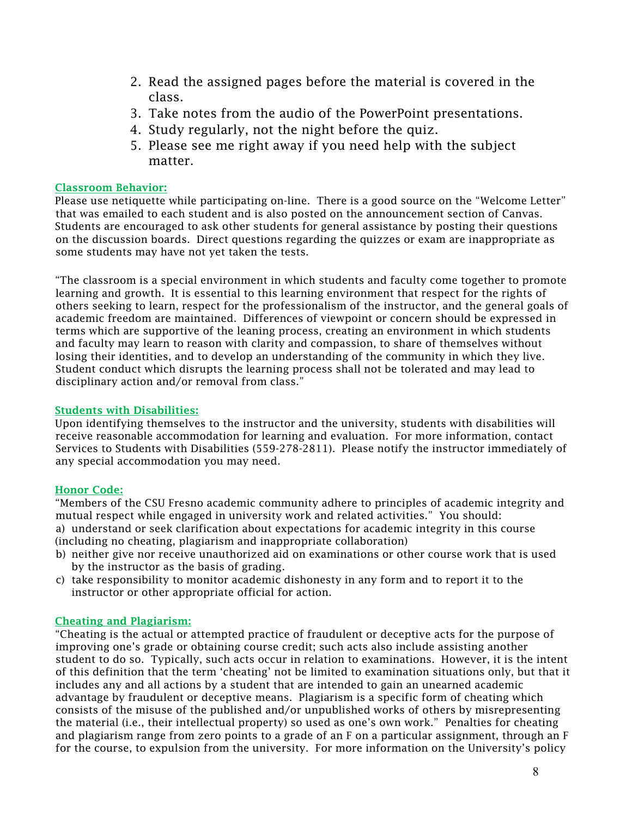- 2. Read the assigned pages before the material is covered in the class.
- 3. Take notes from the audio of the PowerPoint presentations.
- 4. Study regularly, not the night before the quiz.
- 5. Please see me right away if you need help with the subject matter.

#### Classroom Behavior:

Please use netiquette while participating on-line. There is a good source on the "Welcome Letter" that was emailed to each student and is also posted on the announcement section of Canvas. Students are encouraged to ask other students for general assistance by posting their questions on the discussion boards. Direct questions regarding the quizzes or exam are inappropriate as some students may have not yet taken the tests.

"The classroom is a special environment in which students and faculty come together to promote learning and growth. It is essential to this learning environment that respect for the rights of others seeking to learn, respect for the professionalism of the instructor, and the general goals of academic freedom are maintained. Differences of viewpoint or concern should be expressed in terms which are supportive of the leaning process, creating an environment in which students and faculty may learn to reason with clarity and compassion, to share of themselves without losing their identities, and to develop an understanding of the community in which they live. Student conduct which disrupts the learning process shall not be tolerated and may lead to disciplinary action and/or removal from class."

#### Students with Disabilities:

Upon identifying themselves to the instructor and the university, students with disabilities will receive reasonable accommodation for learning and evaluation. For more information, contact Services to Students with Disabilities (559-278-2811). Please notify the instructor immediately of any special accommodation you may need.

#### Honor Code:

"Members of the CSU Fresno academic community adhere to principles of academic integrity and mutual respect while engaged in university work and related activities." You should: a) understand or seek clarification about expectations for academic integrity in this course (including no cheating, plagiarism and inappropriate collaboration)

- b) neither give nor receive unauthorized aid on examinations or other course work that is used by the instructor as the basis of grading.
- c) take responsibility to monitor academic dishonesty in any form and to report it to the instructor or other appropriate official for action.

#### Cheating and Plagiarism:

"Cheating is the actual or attempted practice of fraudulent or deceptive acts for the purpose of improving one's grade or obtaining course credit; such acts also include assisting another student to do so. Typically, such acts occur in relation to examinations. However, it is the intent of this definition that the term 'cheating' not be limited to examination situations only, but that it includes any and all actions by a student that are intended to gain an unearned academic advantage by fraudulent or deceptive means. Plagiarism is a specific form of cheating which consists of the misuse of the published and/or unpublished works of others by misrepresenting the material (i.e., their intellectual property) so used as one's own work." Penalties for cheating and plagiarism range from zero points to a grade of an F on a particular assignment, through an F for the course, to expulsion from the university. For more information on the University's policy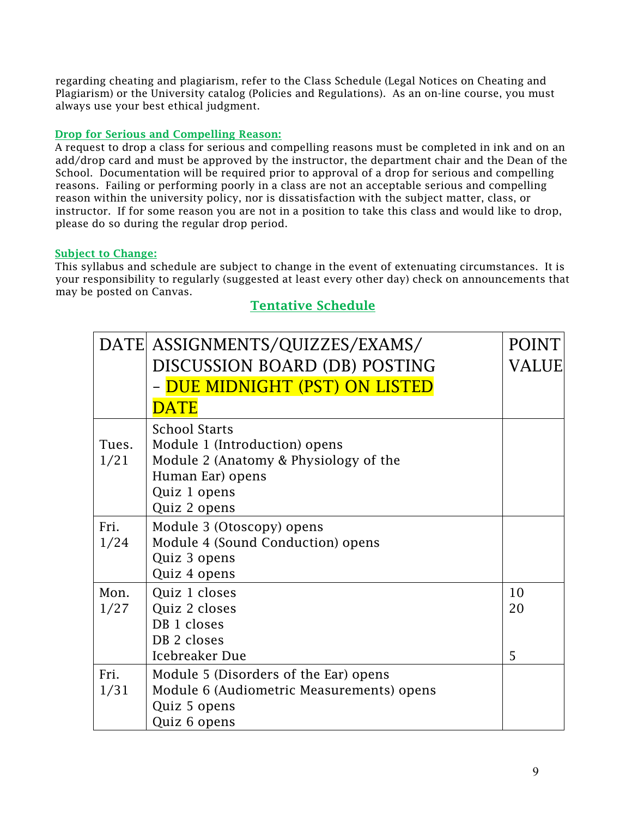regarding cheating and plagiarism, refer to the Class Schedule (Legal Notices on Cheating and Plagiarism) or the University catalog (Policies and Regulations). As an on-line course, you must always use your best ethical judgment.

#### Drop for Serious and Compelling Reason:

A request to drop a class for serious and compelling reasons must be completed in ink and on an add/drop card and must be approved by the instructor, the department chair and the Dean of the School. Documentation will be required prior to approval of a drop for serious and compelling reasons. Failing or performing poorly in a class are not an acceptable serious and compelling reason within the university policy, nor is dissatisfaction with the subject matter, class, or instructor. If for some reason you are not in a position to take this class and would like to drop, please do so during the regular drop period.

#### Subject to Change:

This syllabus and schedule are subject to change in the event of extenuating circumstances. It is your responsibility to regularly (suggested at least every other day) check on announcements that may be posted on Canvas.

#### Tentative Schedule

|       | DATE ASSIGNMENTS/QUIZZES/EXAMS/           | <b>POINT</b> |
|-------|-------------------------------------------|--------------|
|       | DISCUSSION BOARD (DB) POSTING             | VALUE        |
|       | DUE MIDNIGHT (PST) ON LISTED              |              |
|       | <b>DATE</b>                               |              |
|       | <b>School Starts</b>                      |              |
| Tues. | Module 1 (Introduction) opens             |              |
| 1/21  | Module 2 (Anatomy & Physiology of the     |              |
|       | Human Ear) opens                          |              |
|       | Quiz 1 opens                              |              |
|       | Quiz 2 opens                              |              |
| Fri.  | Module 3 (Otoscopy) opens                 |              |
| 1/24  | Module 4 (Sound Conduction) opens         |              |
|       | Quiz 3 opens                              |              |
|       | Quiz 4 opens                              |              |
| Mon.  | Quiz 1 closes                             | 10           |
| 1/27  | Quiz 2 closes                             | 20           |
|       | DB <sub>1</sub> closes                    |              |
|       | DB 2 closes                               |              |
|       | Icebreaker Due                            | 5            |
| Fri.  | Module 5 (Disorders of the Ear) opens     |              |
| 1/31  | Module 6 (Audiometric Measurements) opens |              |
|       | Quiz 5 opens                              |              |
|       | Quiz 6 opens                              |              |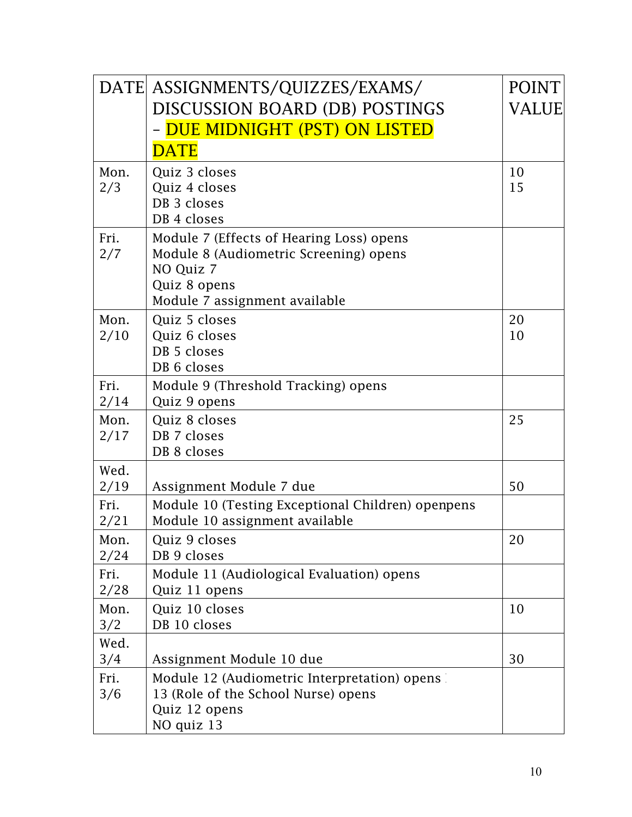|              | DATE ASSIGNMENTS/QUIZZES/EXAMS/                                                     | <b>POINT</b> |
|--------------|-------------------------------------------------------------------------------------|--------------|
|              | <b>DISCUSSION BOARD (DB) POSTINGS</b>                                               | <b>VALUE</b> |
|              | - <mark>DUE MIDNIGHT (PST) ON LISTED</mark>                                         |              |
|              | <b>DATE</b>                                                                         |              |
| Mon.         | Quiz 3 closes                                                                       | 10           |
| 2/3          | Quiz 4 closes                                                                       | 15           |
|              | DB 3 closes<br>DB 4 closes                                                          |              |
| Fri.         | Module 7 (Effects of Hearing Loss) opens                                            |              |
| 2/7          | Module 8 (Audiometric Screening) opens                                              |              |
|              | NO Quiz 7                                                                           |              |
|              | Quiz 8 opens<br>Module 7 assignment available                                       |              |
| Mon.         | Quiz 5 closes                                                                       | 20           |
| 2/10         | Quiz 6 closes                                                                       | 10           |
|              | DB 5 closes                                                                         |              |
|              | DB 6 closes                                                                         |              |
| Fri.         | Module 9 (Threshold Tracking) opens                                                 |              |
| 2/14<br>Mon. | Quiz 9 opens<br>Quiz 8 closes                                                       | 25           |
| 2/17         | DB 7 closes                                                                         |              |
|              | DB 8 closes                                                                         |              |
| Wed.         |                                                                                     |              |
| 2/19         | Assignment Module 7 due                                                             | 50           |
| Fri.<br>2/21 | Module 10 (Testing Exceptional Children) openpens<br>Module 10 assignment available |              |
| Mon.         | Quiz 9 closes                                                                       | 20           |
| 2/24         | DB 9 closes                                                                         |              |
| Fri.<br>2/28 | Module 11 (Audiological Evaluation) opens<br>Quiz 11 opens                          |              |
| Mon.         | Quiz 10 closes                                                                      | 10           |
| 3/2          | DB 10 closes                                                                        |              |
| Wed.         |                                                                                     |              |
| 3/4          | Assignment Module 10 due                                                            | 30           |
| Fri.         | Module 12 (Audiometric Interpretation) opens                                        |              |
| 3/6          | 13 (Role of the School Nurse) opens<br>Quiz 12 opens                                |              |
|              | NO quiz 13                                                                          |              |